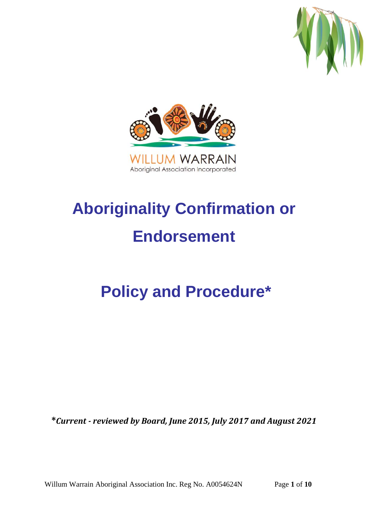



# **Aboriginality Confirmation or Endorsement**

## **Policy and Procedure\***

**\****Current - reviewed by Board, June 2015, July 2017 and August 2021*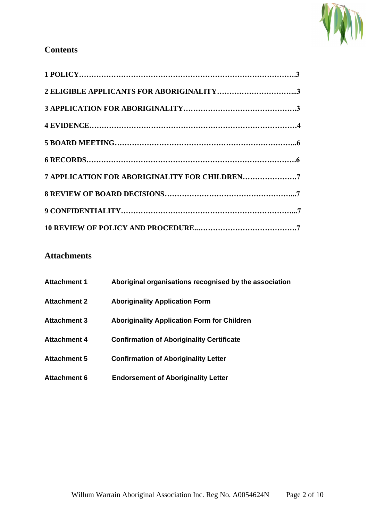

## **Contents**

| 7 APPLICATION FOR ABORIGINALITY FOR CHILDREN7 |  |
|-----------------------------------------------|--|
|                                               |  |
|                                               |  |
|                                               |  |

## **Attachments**

| <b>Attachment 1</b> | Aboriginal organisations recognised by the association |
|---------------------|--------------------------------------------------------|
| <b>Attachment 2</b> | <b>Aboriginality Application Form</b>                  |
| <b>Attachment 3</b> | <b>Aboriginality Application Form for Children</b>     |
| <b>Attachment 4</b> | <b>Confirmation of Aboriginality Certificate</b>       |
| <b>Attachment 5</b> | <b>Confirmation of Aboriginality Letter</b>            |
| <b>Attachment 6</b> | <b>Endorsement of Aboriginality Letter</b>             |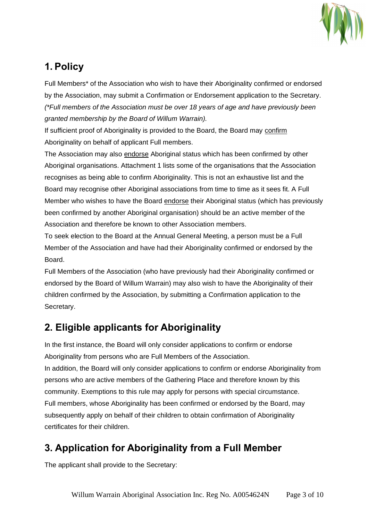

## **1. Policy**

Full Members\* of the Association who wish to have their Aboriginality confirmed or endorsed by the Association, may submit a Confirmation or Endorsement application to the Secretary. *(\*Full members of the Association must be over 18 years of age and have previously been granted membership by the Board of Willum Warrain).*

If sufficient proof of Aboriginality is provided to the Board, the Board may confirm Aboriginality on behalf of applicant Full members.

The Association may also endorse Aboriginal status which has been confirmed by other Aboriginal organisations. Attachment 1 lists some of the organisations that the Association recognises as being able to confirm Aboriginality. This is not an exhaustive list and the Board may recognise other Aboriginal associations from time to time as it sees fit. A Full Member who wishes to have the Board endorse their Aboriginal status (which has previously been confirmed by another Aboriginal organisation) should be an active member of the Association and therefore be known to other Association members.

To seek election to the Board at the Annual General Meeting, a person must be a Full Member of the Association and have had their Aboriginality confirmed or endorsed by the Board.

Full Members of the Association (who have previously had their Aboriginality confirmed or endorsed by the Board of Willum Warrain) may also wish to have the Aboriginality of their children confirmed by the Association, by submitting a Confirmation application to the Secretary.

## **2. Eligible applicants for Aboriginality**

In the first instance, the Board will only consider applications to confirm or endorse Aboriginality from persons who are Full Members of the Association. In addition, the Board will only consider applications to confirm or endorse Aboriginality from

persons who are active members of the Gathering Place and therefore known by this community. Exemptions to this rule may apply for persons with special circumstance. Full members, whose Aboriginality has been confirmed or endorsed by the Board, may subsequently apply on behalf of their children to obtain confirmation of Aboriginality certificates for their children.

## **3. Application for Aboriginality from a Full Member**

The applicant shall provide to the Secretary: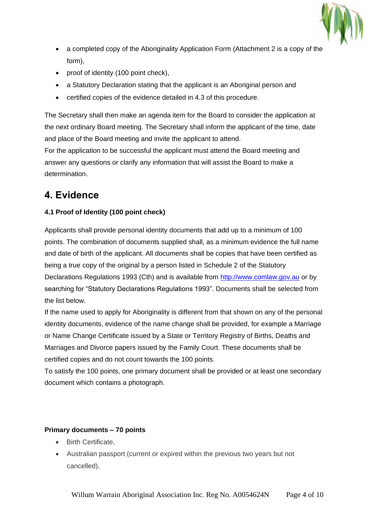

- a completed copy of the Aboriginality Application Form (Attachment 2 is a copy of the form),
- proof of identity (100 point check),
- a Statutory Declaration stating that the applicant is an Aboriginal person and
- certified copies of the evidence detailed in 4.3 of this procedure.

The Secretary shall then make an agenda item for the Board to consider the application at the next ordinary Board meeting. The Secretary shall inform the applicant of the time, date and place of the Board meeting and invite the applicant to attend.

For the application to be successful the applicant must attend the Board meeting and answer any questions or clarify any information that will assist the Board to make a determination.

## **4. Evidence**

#### **4.1 Proof of Identity (100 point check)**

Applicants shall provide personal identity documents that add up to a minimum of 100 points. The combination of documents supplied shall, as a minimum evidence the full name and date of birth of the applicant. All documents shall be copies that have been certified as being a true copy of the original by a person listed in Schedule 2 of the Statutory Declarations Regulations 1993 (Cth) and is available from [http://www.comlaw.gov.au](http://www.comlaw.gov.au/) or by searching for "Statutory Declarations Regulations 1993". Documents shall be selected from the list below.

If the name used to apply for Aboriginality is different from that shown on any of the personal identity documents, evidence of the name change shall be provided, for example a Marriage or Name Change Certificate issued by a State or Territory Registry of Births, Deaths and Marriages and Divorce papers issued by the Family Court. These documents shall be certified copies and do not count towards the 100 points.

To satisfy the 100 points, one primary document shall be provided or at least one secondary document which contains a photograph.

#### **Primary documents – 70 points**

- Birth Certificate,
- Australian passport (current or expired within the previous two years but not cancelled),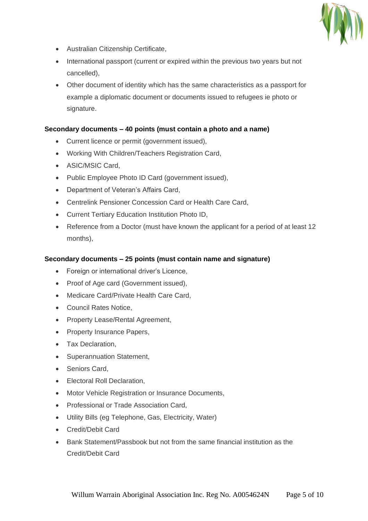

- Australian Citizenship Certificate,
- International passport (current or expired within the previous two years but not cancelled),
- Other document of identity which has the same characteristics as a passport for example a diplomatic document or documents issued to refugees ie photo or signature.

#### **Secondary documents – 40 points (must contain a photo and a name)**

- Current licence or permit (government issued),
- Working With Children/Teachers Registration Card,
- ASIC/MSIC Card,
- Public Employee Photo ID Card (government issued),
- Department of Veteran's Affairs Card,
- Centrelink Pensioner Concession Card or Health Care Card,
- Current Tertiary Education Institution Photo ID,
- Reference from a Doctor (must have known the applicant for a period of at least 12 months),

#### **Secondary documents – 25 points (must contain name and signature)**

- Foreign or international driver's Licence,
- Proof of Age card (Government issued),
- Medicare Card/Private Health Care Card,
- Council Rates Notice,
- Property Lease/Rental Agreement,
- Property Insurance Papers,
- Tax Declaration,
- Superannuation Statement,
- Seniors Card,
- Electoral Roll Declaration,
- Motor Vehicle Registration or Insurance Documents,
- Professional or Trade Association Card,
- Utility Bills (eg Telephone, Gas, Electricity, Water)
- Credit/Debit Card
- Bank Statement/Passbook but not from the same financial institution as the Credit/Debit Card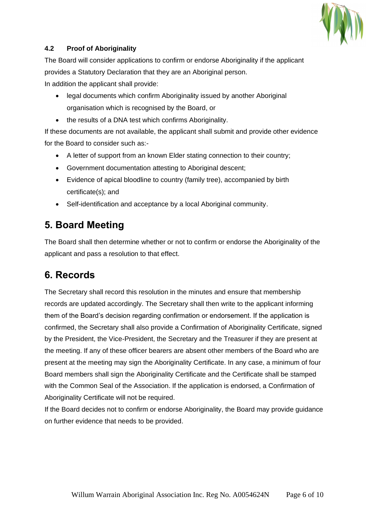

#### **4.2 Proof of Aboriginality**

The Board will consider applications to confirm or endorse Aboriginality if the applicant provides a Statutory Declaration that they are an Aboriginal person. In addition the applicant shall provide:

- legal documents which confirm Aboriginality issued by another Aboriginal organisation which is recognised by the Board, or
- the results of a DNA test which confirms Aboriginality.

If these documents are not available, the applicant shall submit and provide other evidence for the Board to consider such as:-

- A letter of support from an known Elder stating connection to their country;
- Government documentation attesting to Aboriginal descent;
- Evidence of apical bloodline to country (family tree), accompanied by birth certificate(s); and
- Self-identification and acceptance by a local Aboriginal community.

## **5. Board Meeting**

The Board shall then determine whether or not to confirm or endorse the Aboriginality of the applicant and pass a resolution to that effect.

## **6. Records**

The Secretary shall record this resolution in the minutes and ensure that membership records are updated accordingly. The Secretary shall then write to the applicant informing them of the Board's decision regarding confirmation or endorsement. If the application is confirmed, the Secretary shall also provide a Confirmation of Aboriginality Certificate, signed by the President, the Vice-President, the Secretary and the Treasurer if they are present at the meeting. If any of these officer bearers are absent other members of the Board who are present at the meeting may sign the Aboriginality Certificate. In any case, a minimum of four Board members shall sign the Aboriginality Certificate and the Certificate shall be stamped with the Common Seal of the Association. If the application is endorsed, a Confirmation of Aboriginality Certificate will not be required.

If the Board decides not to confirm or endorse Aboriginality, the Board may provide guidance on further evidence that needs to be provided.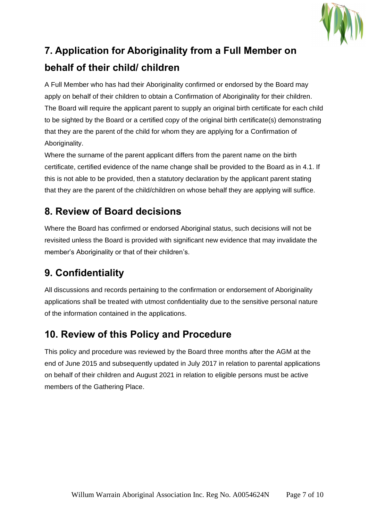

## **7. Application for Aboriginality from a Full Member on behalf of their child/ children**

A Full Member who has had their Aboriginality confirmed or endorsed by the Board may apply on behalf of their children to obtain a Confirmation of Aboriginality for their children. The Board will require the applicant parent to supply an original birth certificate for each child to be sighted by the Board or a certified copy of the original birth certificate(s) demonstrating that they are the parent of the child for whom they are applying for a Confirmation of Aboriginality.

Where the surname of the parent applicant differs from the parent name on the birth certificate, certified evidence of the name change shall be provided to the Board as in 4.1. If this is not able to be provided, then a statutory declaration by the applicant parent stating that they are the parent of the child/children on whose behalf they are applying will suffice.

## **8. Review of Board decisions**

Where the Board has confirmed or endorsed Aboriginal status, such decisions will not be revisited unless the Board is provided with significant new evidence that may invalidate the member's Aboriginality or that of their children's.

## **9. Confidentiality**

All discussions and records pertaining to the confirmation or endorsement of Aboriginality applications shall be treated with utmost confidentiality due to the sensitive personal nature of the information contained in the applications.

## **10. Review of this Policy and Procedure**

This policy and procedure was reviewed by the Board three months after the AGM at the end of June 2015 and subsequently updated in July 2017 in relation to parental applications on behalf of their children and August 2021 in relation to eligible persons must be active members of the Gathering Place.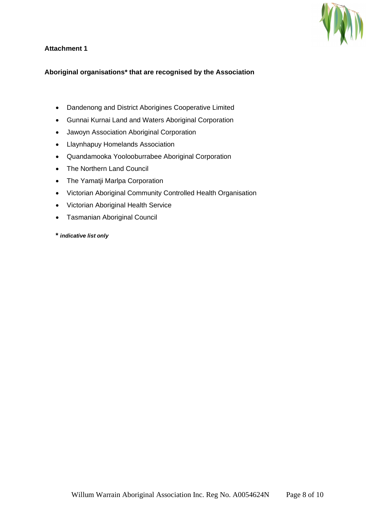

#### **Attachment 1**

#### **Aboriginal organisations\* that are recognised by the Association**

- Dandenong and District Aborigines Cooperative Limited
- Gunnai Kurnai Land and Waters Aboriginal Corporation
- Jawoyn Association Aboriginal Corporation
- Llaynhapuy Homelands Association
- Quandamooka Yoolooburrabee Aboriginal Corporation
- The Northern Land Council
- The Yamatji Marlpa Corporation
- Victorian Aboriginal Community Controlled Health Organisation
- Victorian Aboriginal Health Service
- Tasmanian Aboriginal Council
- **\*** *indicative list only*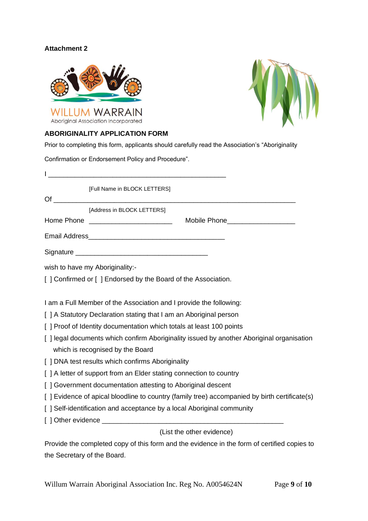#### **Attachment 2**





#### **ABORIGINALITY APPLICATION FORM**

Prior to completing this form, applicants should carefully read the Association's "Aboriginality

Confirmation or Endorsement Policy and Procedure".

 $\blacksquare$ [Full Name in BLOCK LETTERS]  $\mathsf{Of}$ [Address in BLOCK LETTERS] Home Phone **Example 20** and the Mobile Phone Email Address\_\_\_\_\_\_\_\_\_\_\_\_\_\_\_\_\_\_\_\_\_\_\_\_\_\_\_\_\_\_\_\_\_\_\_\_ Signature \_\_\_\_\_\_\_\_\_\_\_\_\_\_\_\_\_\_\_\_\_\_\_\_\_\_\_\_\_\_\_\_\_\_\_ wish to have my Aboriginality:-[] Confirmed or [] Endorsed by the Board of the Association. I am a Full Member of the Association and I provide the following: [ ] A Statutory Declaration stating that I am an Aboriginal person [ ] Proof of Identity documentation which totals at least 100 points [ ] legal documents which confirm Aboriginality issued by another Aboriginal organisation which is recognised by the Board [ ] DNA test results which confirms Aboriginality [ ] A letter of support from an Elder stating connection to country [ ] Government documentation attesting to Aboriginal descent [ ] Evidence of apical bloodline to country (family tree) accompanied by birth certificate(s) [ ] Self-identification and acceptance by a local Aboriginal community [ ] Other evidence \_\_\_\_\_\_\_\_\_\_\_\_\_\_\_\_\_\_\_\_\_\_\_\_\_\_\_\_\_\_\_\_\_\_\_\_\_\_\_\_\_\_\_\_\_\_\_\_ (List the other evidence)

Provide the completed copy of this form and the evidence in the form of certified copies to the Secretary of the Board.